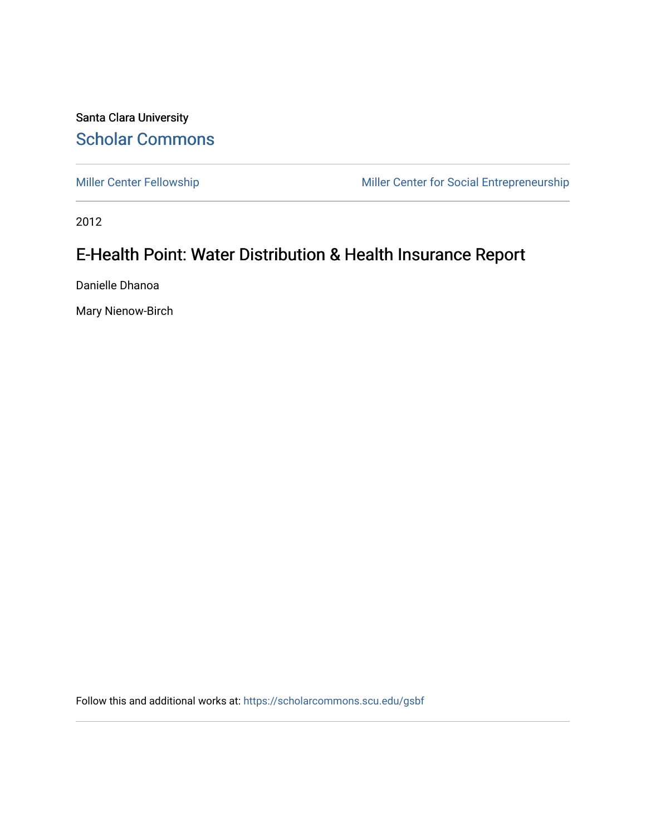Santa Clara University [Scholar Commons](https://scholarcommons.scu.edu/) 

[Miller Center Fellowship](https://scholarcommons.scu.edu/gsbf) Miller Center for Social Entrepreneurship

2012

# E-Health Point: Water Distribution & Health Insurance Report

Danielle Dhanoa

Mary Nienow-Birch

Follow this and additional works at: [https://scholarcommons.scu.edu/gsbf](https://scholarcommons.scu.edu/gsbf?utm_source=scholarcommons.scu.edu%2Fgsbf%2F13&utm_medium=PDF&utm_campaign=PDFCoverPages)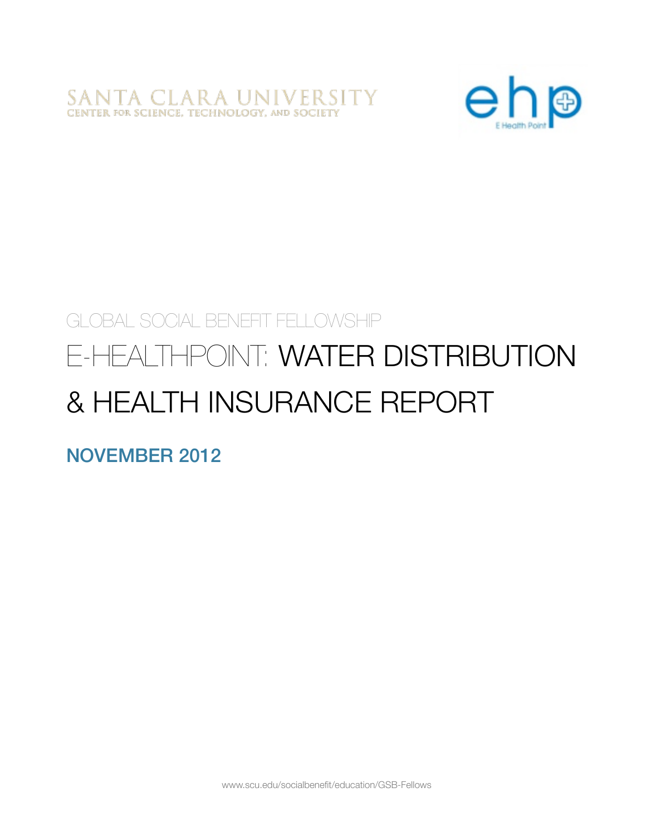SANTA CLARA UNIVERSITY<br>CENTER FOR SCIENCE, TECHNOLOGY, AND SOCIETY



# GLOBAL SOCIAL BENEFIT FELLOWSHIP

# E-HEALTHPOINT: WATER DISTRIBUTION & HEALTH INSURANCE REPORT

NOVEMBER 2012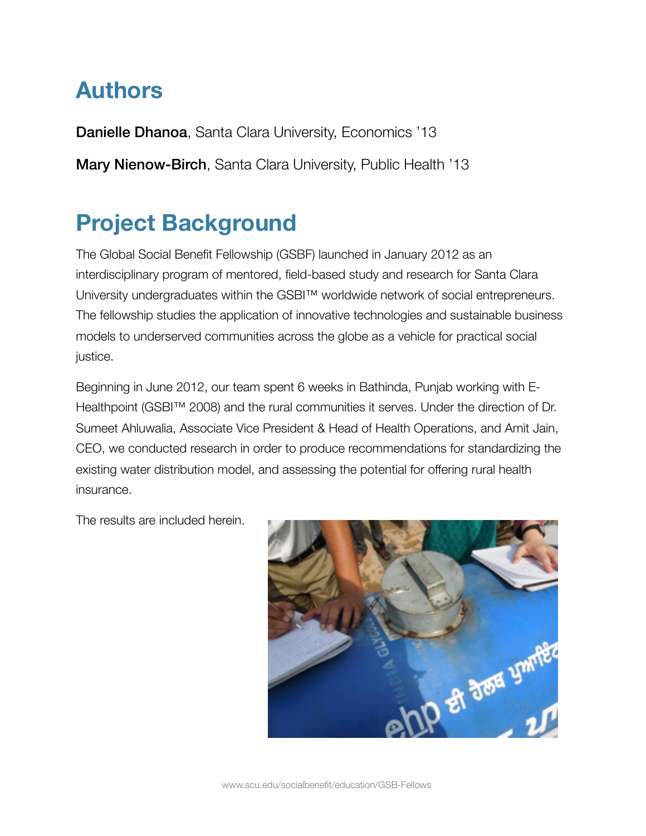# **Authors**

Danielle Dhanoa, Santa Clara University, Economics '13

Mary Nienow-Birch, Santa Clara University, Public Health '13

# **Project Background**

The Global Social Benefit Fellowship (GSBF) launched in January 2012 as an interdisciplinary program of mentored, field-based study and research for Santa Clara University undergraduates within the GSBI™ worldwide network of social entrepreneurs. The fellowship studies the application of innovative technologies and sustainable business models to underserved communities across the globe as a vehicle for practical social justice.

Beginning in June 2012, our team spent 6 weeks in Bathinda, Punjab working with E-Healthpoint (GSBI™ 2008) and the rural communities it serves. Under the direction of Dr. Sumeet Ahluwalia, Associate Vice President & Head of Health Operations, and Amit Jain, CEO, we conducted research in order to produce recommendations for standardizing the existing water distribution model, and assessing the potential for offering rural health insurance.

The results are included herein.

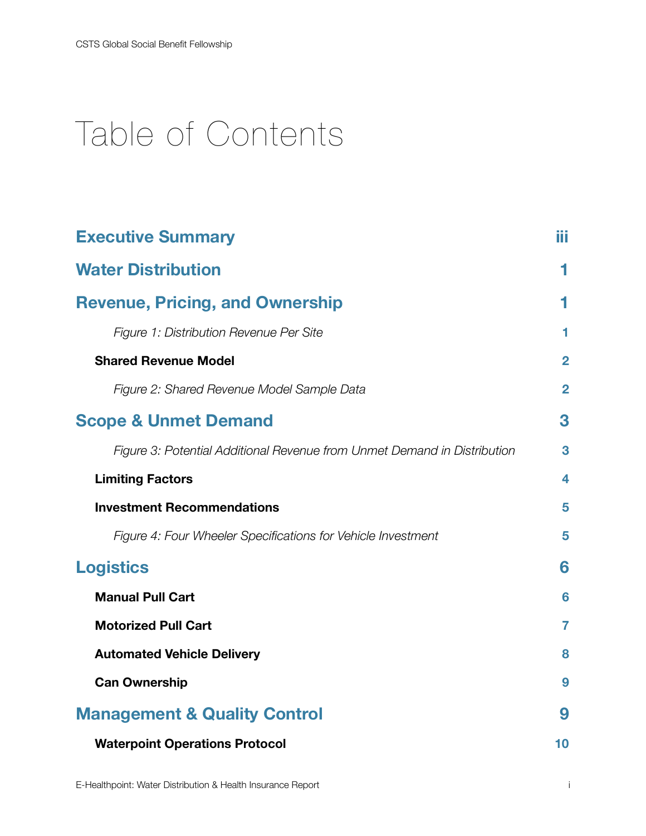# Table of Contents

| <b>Executive Summary</b>                                                 |                |
|--------------------------------------------------------------------------|----------------|
| <b>Water Distribution</b>                                                | 1              |
| <b>Revenue, Pricing, and Ownership</b>                                   |                |
| Figure 1: Distribution Revenue Per Site                                  | 1              |
| <b>Shared Revenue Model</b>                                              | $\overline{2}$ |
| Figure 2: Shared Revenue Model Sample Data                               | $\overline{2}$ |
| <b>Scope &amp; Unmet Demand</b>                                          | 3              |
| Figure 3: Potential Additional Revenue from Unmet Demand in Distribution | 3              |
| <b>Limiting Factors</b>                                                  | 4              |
| <b>Investment Recommendations</b>                                        | 5              |
| Figure 4: Four Wheeler Specifications for Vehicle Investment             | 5              |
| <b>Logistics</b>                                                         |                |
| <b>Manual Pull Cart</b>                                                  | 6              |
| <b>Motorized Pull Cart</b>                                               | 7              |
| <b>Automated Vehicle Delivery</b>                                        | 8              |
| <b>Can Ownership</b>                                                     | 9              |
| <b>Management &amp; Quality Control</b>                                  |                |
| <b>Waterpoint Operations Protocol</b>                                    | 10             |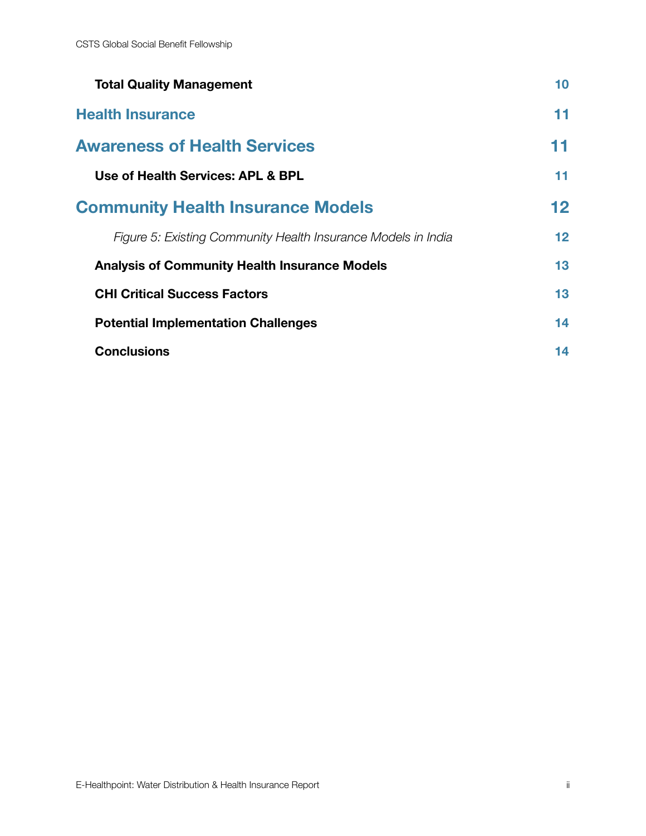| <b>Total Quality Management</b>                               | 10      |
|---------------------------------------------------------------|---------|
| <b>Health Insurance</b>                                       | 11      |
| <b>Awareness of Health Services</b>                           | 11      |
| Use of Health Services: APL & BPL                             | 11      |
| <b>Community Health Insurance Models</b>                      | $12 \,$ |
| Figure 5: Existing Community Health Insurance Models in India | 12      |
| <b>Analysis of Community Health Insurance Models</b>          | 13      |
| <b>CHI Critical Success Factors</b>                           | 13      |
| <b>Potential Implementation Challenges</b>                    | 14      |
| <b>Conclusions</b>                                            | 14      |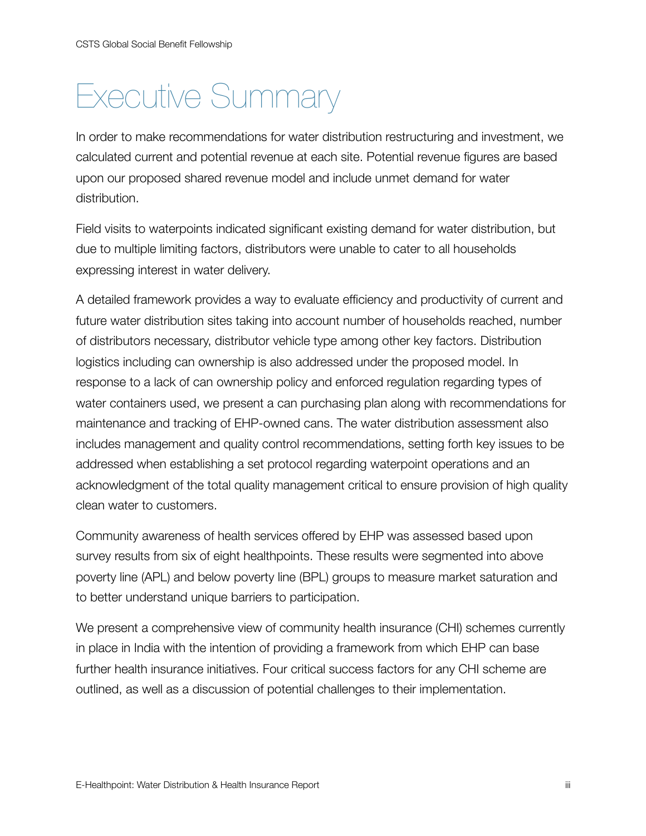# <span id="page-5-0"></span>Executive Summary

In order to make recommendations for water distribution restructuring and investment, we calculated current and potential revenue at each site. Potential revenue figures are based upon our proposed shared revenue model and include unmet demand for water distribution.

Field visits to waterpoints indicated significant existing demand for water distribution, but due to multiple limiting factors, distributors were unable to cater to all households expressing interest in water delivery.

A detailed framework provides a way to evaluate efficiency and productivity of current and future water distribution sites taking into account number of households reached, number of distributors necessary, distributor vehicle type among other key factors. Distribution logistics including can ownership is also addressed under the proposed model. In response to a lack of can ownership policy and enforced regulation regarding types of water containers used, we present a can purchasing plan along with recommendations for maintenance and tracking of EHP-owned cans. The water distribution assessment also includes management and quality control recommendations, setting forth key issues to be addressed when establishing a set protocol regarding waterpoint operations and an acknowledgment of the total quality management critical to ensure provision of high quality clean water to customers.

Community awareness of health services offered by EHP was assessed based upon survey results from six of eight healthpoints. These results were segmented into above poverty line (APL) and below poverty line (BPL) groups to measure market saturation and to better understand unique barriers to participation.

We present a comprehensive view of community health insurance (CHI) schemes currently in place in India with the intention of providing a framework from which EHP can base further health insurance initiatives. Four critical success factors for any CHI scheme are outlined, as well as a discussion of potential challenges to their implementation.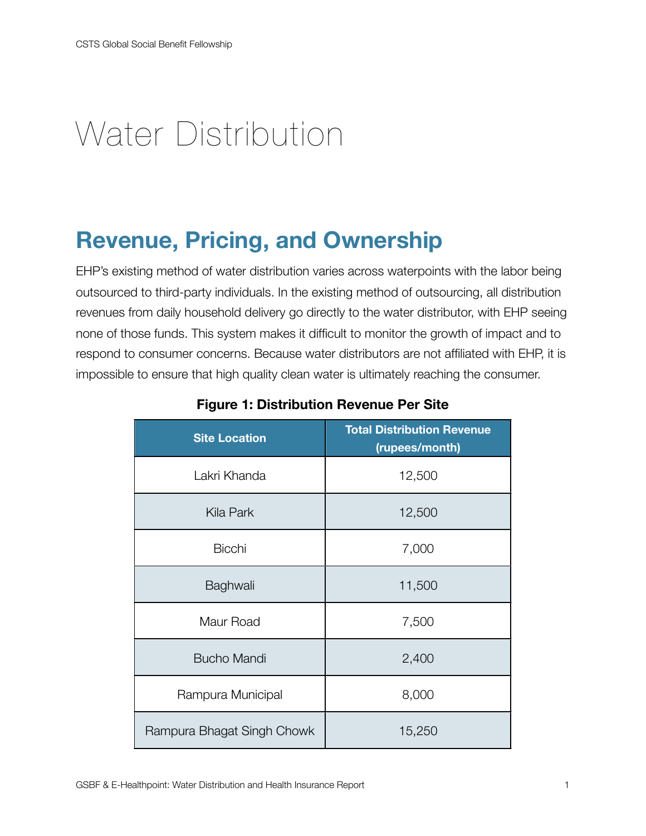# <span id="page-6-0"></span>Water Distribution

# <span id="page-6-1"></span>**Revenue, Pricing, and Ownership**

EHP's existing method of water distribution varies across waterpoints with the labor being outsourced to third-party individuals. In the existing method of outsourcing, all distribution revenues from daily household delivery go directly to the water distributor, with EHP seeing none of those funds. This system makes it difficult to monitor the growth of impact and to respond to consumer concerns. Because water distributors are not affiliated with EHP, it is impossible to ensure that high quality clean water is ultimately reaching the consumer.

| <b>Site Location</b>       | <b>Total Distribution Revenue</b><br>(rupees/month) |
|----------------------------|-----------------------------------------------------|
| Lakri Khanda               | 12,500                                              |
| Kila Park                  | 12,500                                              |
| <b>Bicchi</b>              | 7,000                                               |
| Baghwali                   | 11,500                                              |
| Maur Road                  | 7,500                                               |
| <b>Bucho Mandi</b>         | 2,400                                               |
| Rampura Municipal          | 8,000                                               |
| Rampura Bhagat Singh Chowk | 15,250                                              |

<span id="page-6-2"></span>**Figure 1: Distribution Revenue Per Site**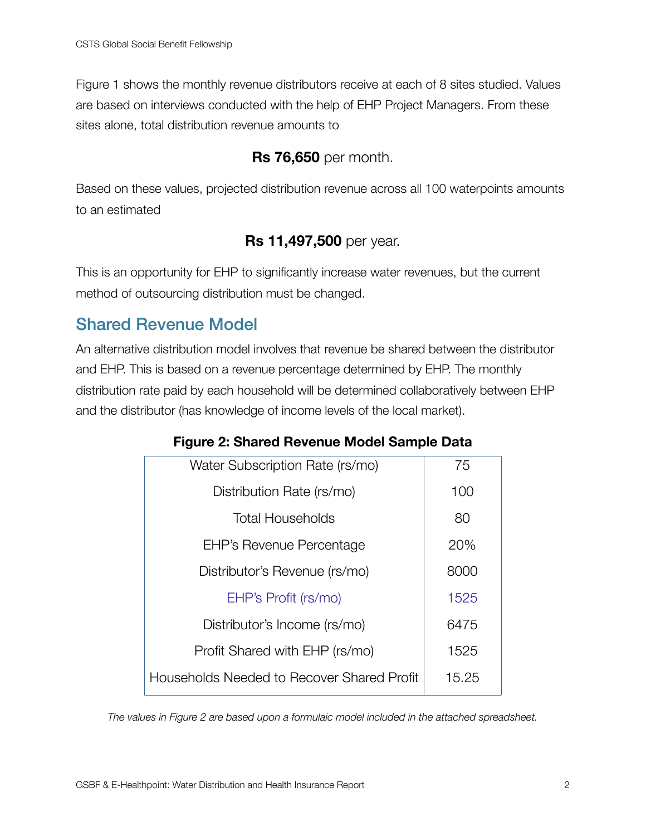Figure 1 shows the monthly revenue distributors receive at each of 8 sites studied. Values are based on interviews conducted with the help of EHP Project Managers. From these sites alone, total distribution revenue amounts to

#### **Rs 76,650** per month.

Based on these values, projected distribution revenue across all 100 waterpoints amounts to an estimated

#### **Rs 11,497,500** per year.

This is an opportunity for EHP to significantly increase water revenues, but the current method of outsourcing distribution must be changed.

## <span id="page-7-0"></span>Shared Revenue Model

An alternative distribution model involves that revenue be shared between the distributor and EHP. This is based on a revenue percentage determined by EHP. The monthly distribution rate paid by each household will be determined collaboratively between EHP and the distributor (has knowledge of income levels of the local market).

| Water Subscription Rate (rs/mo)            | 75    |
|--------------------------------------------|-------|
| Distribution Rate (rs/mo)                  | 100   |
| <b>Total Households</b>                    | 80    |
| <b>EHP's Revenue Percentage</b>            | 20%   |
| Distributor's Revenue (rs/mo)              | 8000  |
| EHP's Profit (rs/mo)                       | 1525  |
| Distributor's Income (rs/mo)               | 6475  |
| Profit Shared with EHP (rs/mo)             | 1525  |
| Households Needed to Recover Shared Profit | 15.25 |
|                                            |       |

#### <span id="page-7-1"></span>**Figure 2: Shared Revenue Model Sample Data**

*The values in Figure 2 are based upon a formulaic model included in the attached spreadsheet.*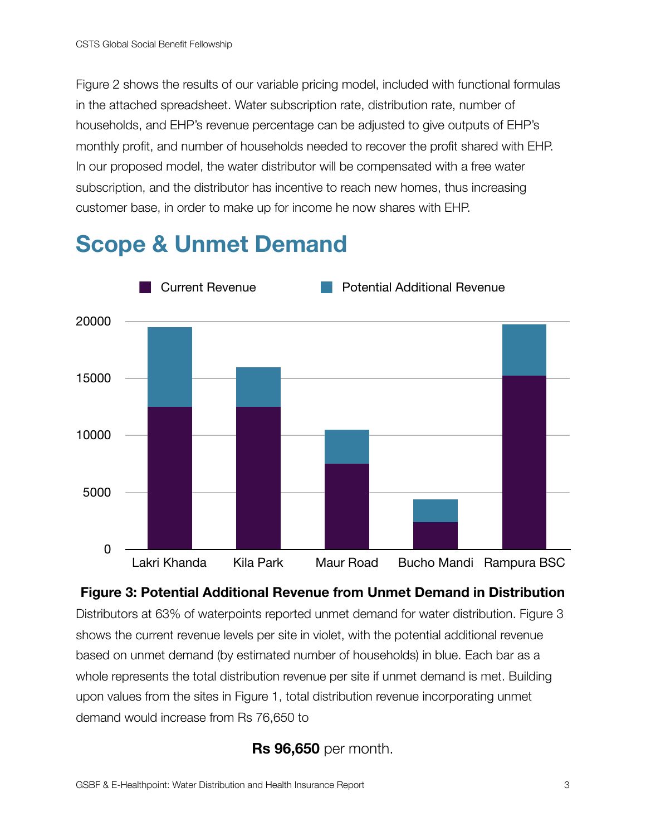Figure 2 shows the results of our variable pricing model, included with functional formulas in the attached spreadsheet. Water subscription rate, distribution rate, number of households, and EHP's revenue percentage can be adjusted to give outputs of EHP's monthly profit, and number of households needed to recover the profit shared with EHP. In our proposed model, the water distributor will be compensated with a free water subscription, and the distributor has incentive to reach new homes, thus increasing customer base, in order to make up for income he now shares with EHP.

# <span id="page-8-0"></span>**Scope & Unmet Demand**



## <span id="page-8-1"></span>**Figure 3: Potential Additional Revenue from Unmet Demand in Distribution**  Distributors at 63% of waterpoints reported unmet demand for water distribution. Figure 3 shows the current revenue levels per site in violet, with the potential additional revenue

based on unmet demand (by estimated number of households) in blue. Each bar as a whole represents the total distribution revenue per site if unmet demand is met. Building upon values from the sites in Figure 1, total distribution revenue incorporating unmet demand would increase from Rs 76,650 to

### **Rs 96,650** per month.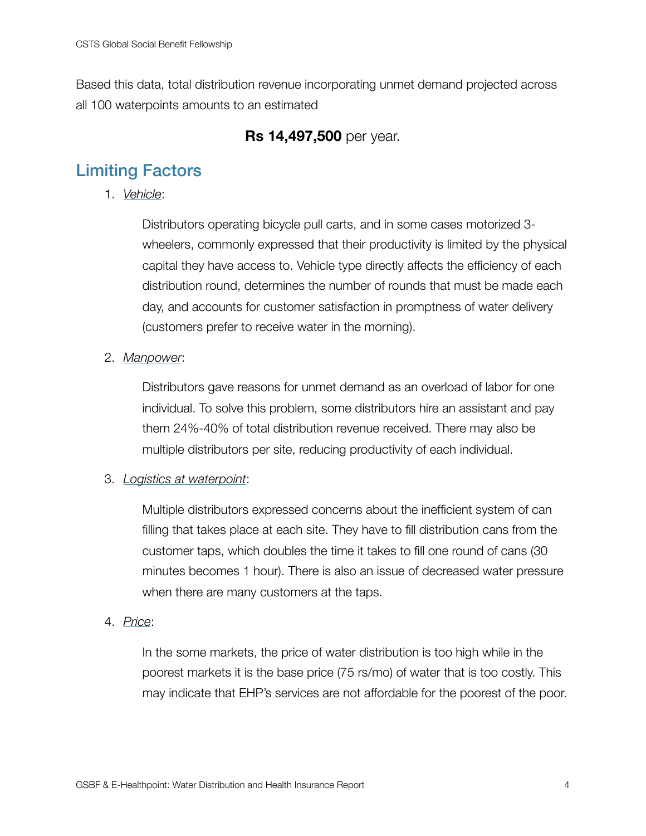Based this data, total distribution revenue incorporating unmet demand projected across all 100 waterpoints amounts to an estimated

#### **Rs 14,497,500** per year.

# <span id="page-9-0"></span>Limiting Factors

1. *Vehicle*:

Distributors operating bicycle pull carts, and in some cases motorized 3 wheelers, commonly expressed that their productivity is limited by the physical capital they have access to. Vehicle type directly affects the efficiency of each distribution round, determines the number of rounds that must be made each day, and accounts for customer satisfaction in promptness of water delivery (customers prefer to receive water in the morning).

2. *Manpower*:

Distributors gave reasons for unmet demand as an overload of labor for one individual. To solve this problem, some distributors hire an assistant and pay them 24%-40% of total distribution revenue received. There may also be multiple distributors per site, reducing productivity of each individual.

#### 3. *Logistics at waterpoint*:

Multiple distributors expressed concerns about the inefficient system of can filling that takes place at each site. They have to fill distribution cans from the customer taps, which doubles the time it takes to fill one round of cans (30 minutes becomes 1 hour). There is also an issue of decreased water pressure when there are many customers at the taps.

4. *Price*:

In the some markets, the price of water distribution is too high while in the poorest markets it is the base price (75 rs/mo) of water that is too costly. This may indicate that EHP's services are not affordable for the poorest of the poor.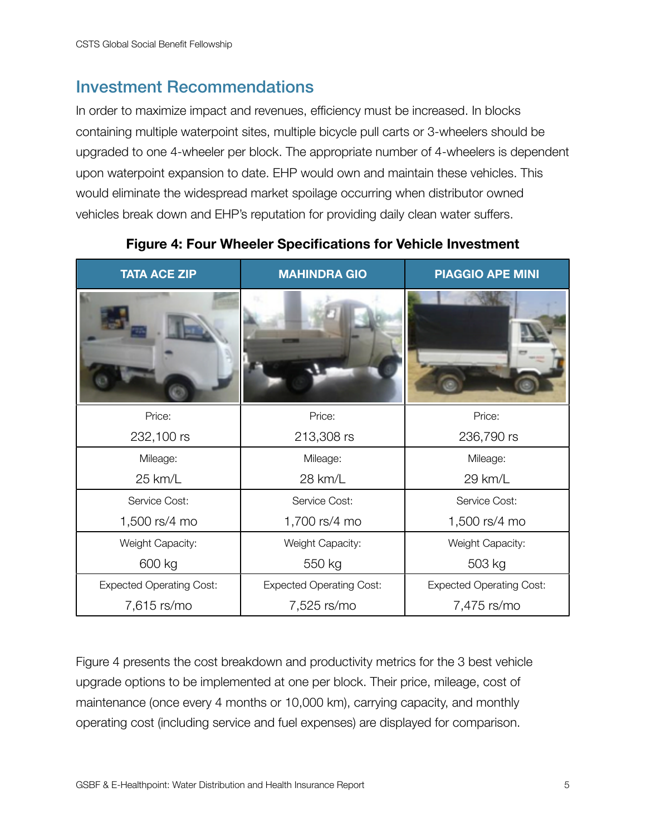### <span id="page-10-0"></span>Investment Recommendations

In order to maximize impact and revenues, efficiency must be increased. In blocks containing multiple waterpoint sites, multiple bicycle pull carts or 3-wheelers should be upgraded to one 4-wheeler per block. The appropriate number of 4-wheelers is dependent upon waterpoint expansion to date. EHP would own and maintain these vehicles. This would eliminate the widespread market spoilage occurring when distributor owned vehicles break down and EHP's reputation for providing daily clean water suffers.

| <b>TATA ACE ZIP</b>             | <b>MAHINDRA GIO</b>             | <b>PIAGGIO APE MINI</b>         |
|---------------------------------|---------------------------------|---------------------------------|
|                                 |                                 |                                 |
| Price:                          | Price:                          | Price:                          |
| 232,100 rs                      | 213,308 rs                      | 236,790 rs                      |
| Mileage:                        | Mileage:                        | Mileage:                        |
| 25 km/L                         | 28 km/L                         | 29 km/L                         |
| Service Cost:                   | Service Cost:                   | Service Cost:                   |
| 1,500 rs/4 mo                   | 1,700 rs/4 mo                   | 1,500 rs/4 mo                   |
| Weight Capacity:                | Weight Capacity:                | Weight Capacity:                |
| 600 kg                          | 550 kg                          | 503 kg                          |
| <b>Expected Operating Cost:</b> | <b>Expected Operating Cost:</b> | <b>Expected Operating Cost:</b> |
| 7,615 rs/mo                     | 7,525 rs/mo                     | 7,475 rs/mo                     |

#### <span id="page-10-1"></span>**Figure 4: Four Wheeler Specifications for Vehicle Investment**

Figure 4 presents the cost breakdown and productivity metrics for the 3 best vehicle upgrade options to be implemented at one per block. Their price, mileage, cost of maintenance (once every 4 months or 10,000 km), carrying capacity, and monthly operating cost (including service and fuel expenses) are displayed for comparison.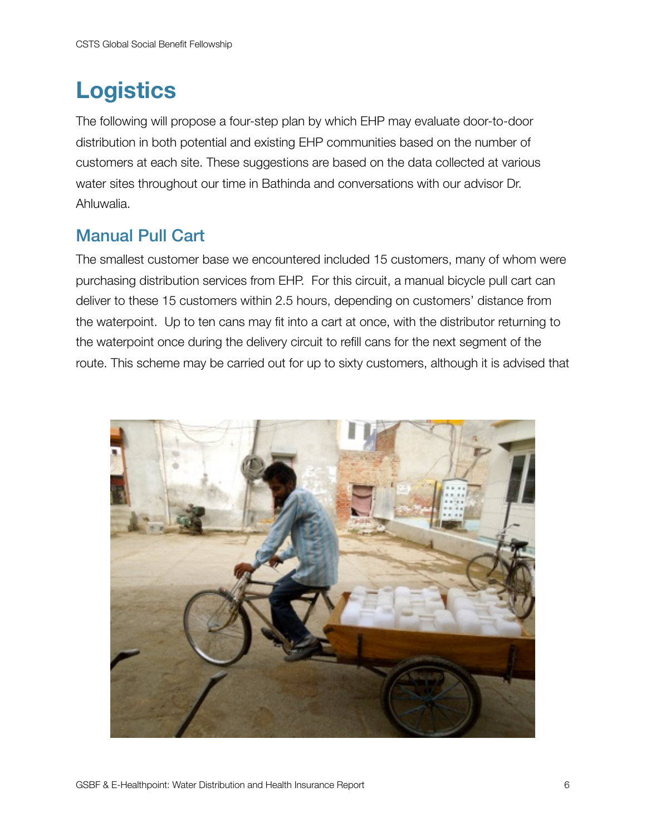# <span id="page-11-0"></span>**Logistics**

The following will propose a four-step plan by which EHP may evaluate door-to-door distribution in both potential and existing EHP communities based on the number of customers at each site. These suggestions are based on the data collected at various water sites throughout our time in Bathinda and conversations with our advisor Dr. Ahluwalia.

## <span id="page-11-1"></span>Manual Pull Cart

The smallest customer base we encountered included 15 customers, many of whom were purchasing distribution services from EHP. For this circuit, a manual bicycle pull cart can deliver to these 15 customers within 2.5 hours, depending on customers' distance from the waterpoint. Up to ten cans may fit into a cart at once, with the distributor returning to the waterpoint once during the delivery circuit to refill cans for the next segment of the route. This scheme may be carried out for up to sixty customers, although it is advised that

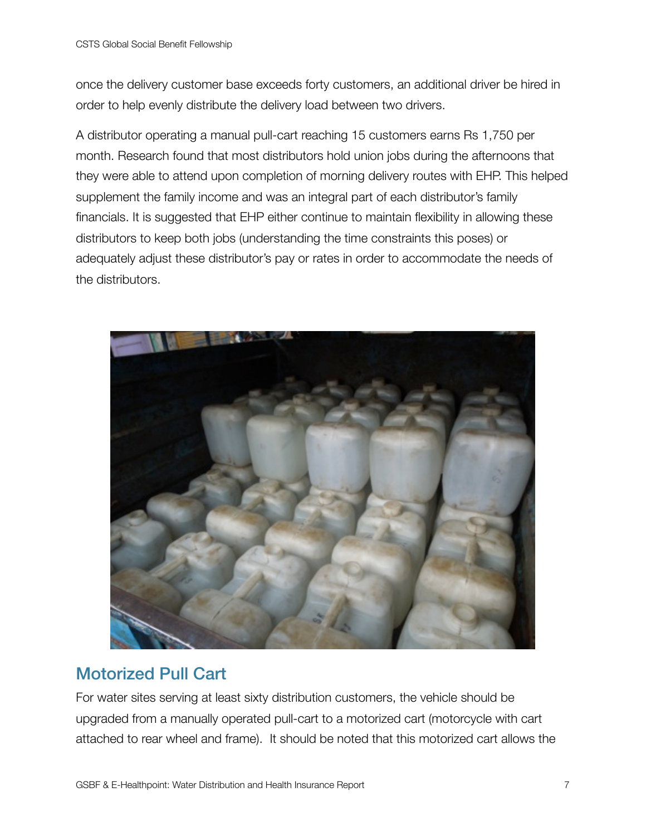once the delivery customer base exceeds forty customers, an additional driver be hired in order to help evenly distribute the delivery load between two drivers.

A distributor operating a manual pull-cart reaching 15 customers earns Rs 1,750 per month. Research found that most distributors hold union jobs during the afternoons that they were able to attend upon completion of morning delivery routes with EHP. This helped supplement the family income and was an integral part of each distributor's family financials. It is suggested that EHP either continue to maintain flexibility in allowing these distributors to keep both jobs (understanding the time constraints this poses) or adequately adjust these distributor's pay or rates in order to accommodate the needs of the distributors.



# <span id="page-12-0"></span>Motorized Pull Cart

For water sites serving at least sixty distribution customers, the vehicle should be upgraded from a manually operated pull-cart to a motorized cart (motorcycle with cart attached to rear wheel and frame). It should be noted that this motorized cart allows the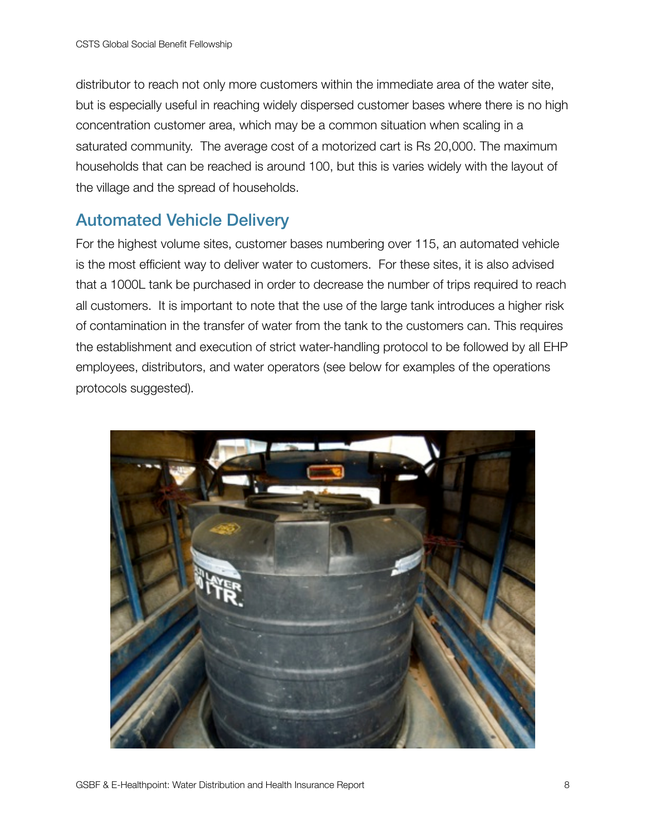distributor to reach not only more customers within the immediate area of the water site, but is especially useful in reaching widely dispersed customer bases where there is no high concentration customer area, which may be a common situation when scaling in a saturated community. The average cost of a motorized cart is Rs 20,000. The maximum households that can be reached is around 100, but this is varies widely with the layout of the village and the spread of households.

## <span id="page-13-0"></span>Automated Vehicle Delivery

For the highest volume sites, customer bases numbering over 115, an automated vehicle is the most efficient way to deliver water to customers. For these sites, it is also advised that a 1000L tank be purchased in order to decrease the number of trips required to reach all customers. It is important to note that the use of the large tank introduces a higher risk of contamination in the transfer of water from the tank to the customers can. This requires the establishment and execution of strict water-handling protocol to be followed by all EHP employees, distributors, and water operators (see below for examples of the operations protocols suggested).

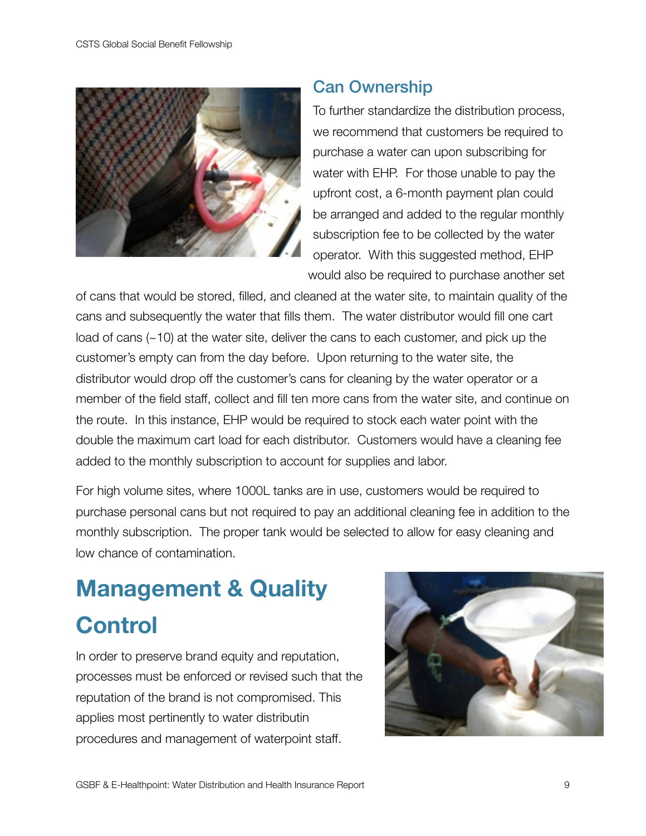

### <span id="page-14-0"></span>Can Ownership

To further standardize the distribution process, we recommend that customers be required to purchase a water can upon subscribing for water with EHP. For those unable to pay the upfront cost, a 6-month payment plan could be arranged and added to the regular monthly subscription fee to be collected by the water operator. With this suggested method, EHP would also be required to purchase another set

of cans that would be stored, filled, and cleaned at the water site, to maintain quality of the cans and subsequently the water that fills them. The water distributor would fill one cart load of cans (~10) at the water site, deliver the cans to each customer, and pick up the customer's empty can from the day before. Upon returning to the water site, the distributor would drop off the customer's cans for cleaning by the water operator or a member of the field staff, collect and fill ten more cans from the water site, and continue on the route. In this instance, EHP would be required to stock each water point with the double the maximum cart load for each distributor. Customers would have a cleaning fee added to the monthly subscription to account for supplies and labor.

For high volume sites, where 1000L tanks are in use, customers would be required to purchase personal cans but not required to pay an additional cleaning fee in addition to the monthly subscription. The proper tank would be selected to allow for easy cleaning and low chance of contamination.

# <span id="page-14-1"></span>**Management & Quality Control**

In order to preserve brand equity and reputation, processes must be enforced or revised such that the reputation of the brand is not compromised. This applies most pertinently to water distributin procedures and management of waterpoint staff.

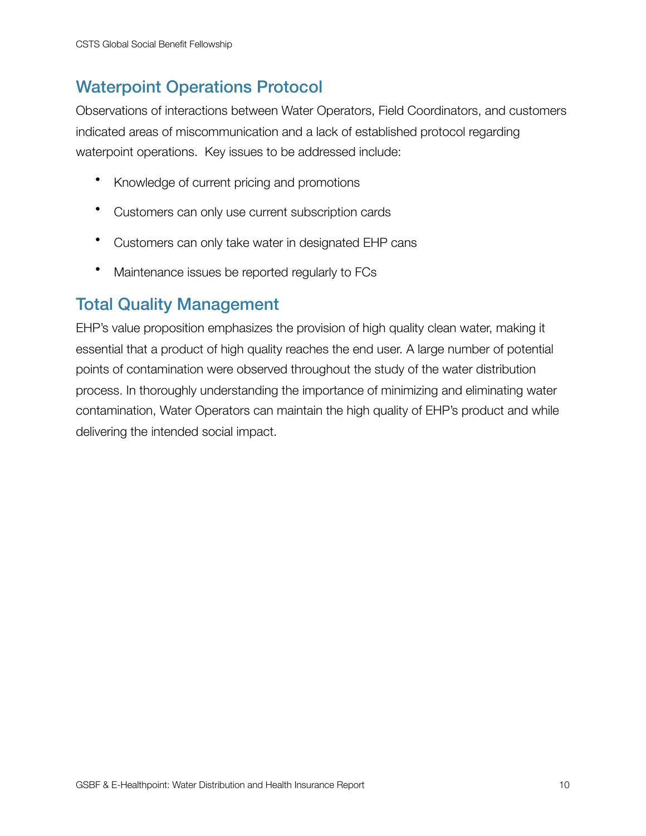# <span id="page-15-0"></span>Waterpoint Operations Protocol

Observations of interactions between Water Operators, Field Coordinators, and customers indicated areas of miscommunication and a lack of established protocol regarding waterpoint operations. Key issues to be addressed include:

- Knowledge of current pricing and promotions
- Customers can only use current subscription cards
- Customers can only take water in designated EHP cans
- Maintenance issues be reported regularly to FCs

### <span id="page-15-1"></span>Total Quality Management

EHP's value proposition emphasizes the provision of high quality clean water, making it essential that a product of high quality reaches the end user. A large number of potential points of contamination were observed throughout the study of the water distribution process. In thoroughly understanding the importance of minimizing and eliminating water contamination, Water Operators can maintain the high quality of EHP's product and while delivering the intended social impact.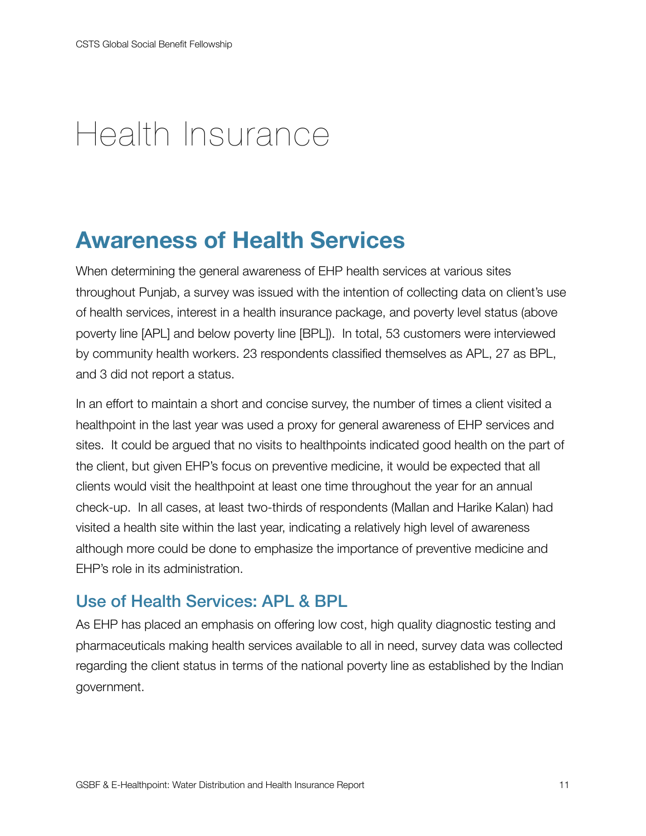# <span id="page-16-0"></span>Health Insurance

# <span id="page-16-1"></span>**Awareness of Health Services**

When determining the general awareness of EHP health services at various sites throughout Punjab, a survey was issued with the intention of collecting data on client's use of health services, interest in a health insurance package, and poverty level status (above poverty line [APL] and below poverty line [BPL]). In total, 53 customers were interviewed by community health workers. 23 respondents classified themselves as APL, 27 as BPL, and 3 did not report a status.

In an effort to maintain a short and concise survey, the number of times a client visited a healthpoint in the last year was used a proxy for general awareness of EHP services and sites. It could be argued that no visits to healthpoints indicated good health on the part of the client, but given EHP's focus on preventive medicine, it would be expected that all clients would visit the healthpoint at least one time throughout the year for an annual check-up. In all cases, at least two-thirds of respondents (Mallan and Harike Kalan) had visited a health site within the last year, indicating a relatively high level of awareness although more could be done to emphasize the importance of preventive medicine and EHP's role in its administration.

## <span id="page-16-2"></span>Use of Health Services: APL & BPL

As EHP has placed an emphasis on offering low cost, high quality diagnostic testing and pharmaceuticals making health services available to all in need, survey data was collected regarding the client status in terms of the national poverty line as established by the Indian government.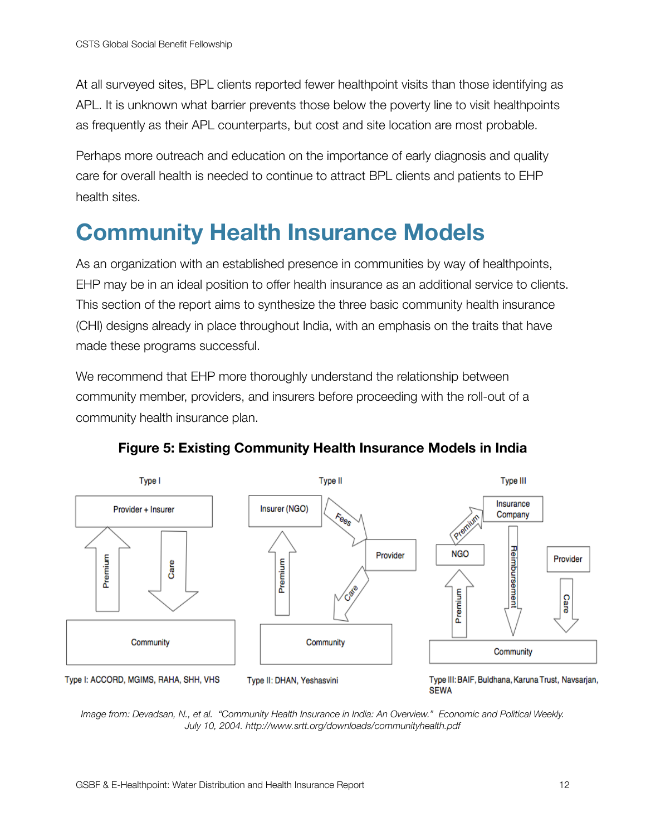At all surveyed sites, BPL clients reported fewer healthpoint visits than those identifying as APL. It is unknown what barrier prevents those below the poverty line to visit healthpoints as frequently as their APL counterparts, but cost and site location are most probable.

Perhaps more outreach and education on the importance of early diagnosis and quality care for overall health is needed to continue to attract BPL clients and patients to EHP health sites.

# <span id="page-17-0"></span>**Community Health Insurance Models**

As an organization with an established presence in communities by way of healthpoints, EHP may be in an ideal position to offer health insurance as an additional service to clients. This section of the report aims to synthesize the three basic community health insurance (CHI) designs already in place throughout India, with an emphasis on the traits that have made these programs successful.

We recommend that EHP more thoroughly understand the relationship between community member, providers, and insurers before proceeding with the roll-out of a community health insurance plan.



#### <span id="page-17-1"></span>**Figure 5: Existing Community Health Insurance Models in India**

*Image from: Devadsan, N., et al. "Community Health Insurance in India: An Overview." Economic and Political Weekly. July 10, 2004. http://www.srtt.org/downloads/communityhealth.pdf*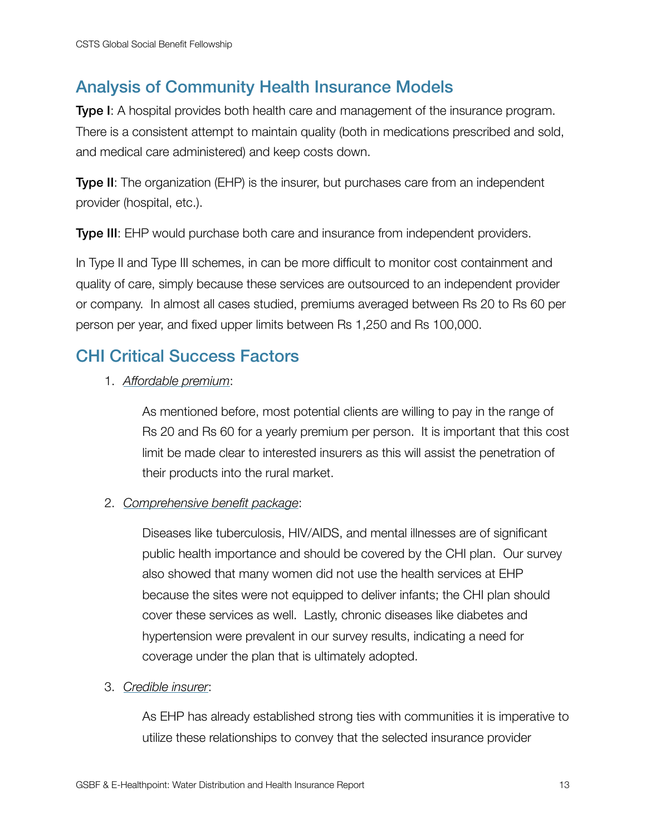# <span id="page-18-0"></span>Analysis of Community Health Insurance Models

**Type I:** A hospital provides both health care and management of the insurance program. There is a consistent attempt to maintain quality (both in medications prescribed and sold, and medical care administered) and keep costs down.

**Type II:** The organization (EHP) is the insurer, but purchases care from an independent provider (hospital, etc.).

Type III: EHP would purchase both care and insurance from independent providers.

In Type II and Type III schemes, in can be more difficult to monitor cost containment and quality of care, simply because these services are outsourced to an independent provider or company. In almost all cases studied, premiums averaged between Rs 20 to Rs 60 per person per year, and fixed upper limits between Rs 1,250 and Rs 100,000.

### <span id="page-18-1"></span>CHI Critical Success Factors

1. *Affordable premium*:

As mentioned before, most potential clients are willing to pay in the range of Rs 20 and Rs 60 for a yearly premium per person. It is important that this cost limit be made clear to interested insurers as this will assist the penetration of their products into the rural market.

2. *Comprehensive benefit package*:

Diseases like tuberculosis, HIV/AIDS, and mental illnesses are of significant public health importance and should be covered by the CHI plan. Our survey also showed that many women did not use the health services at EHP because the sites were not equipped to deliver infants; the CHI plan should cover these services as well. Lastly, chronic diseases like diabetes and hypertension were prevalent in our survey results, indicating a need for coverage under the plan that is ultimately adopted.

3. *Credible insurer*:

As EHP has already established strong ties with communities it is imperative to utilize these relationships to convey that the selected insurance provider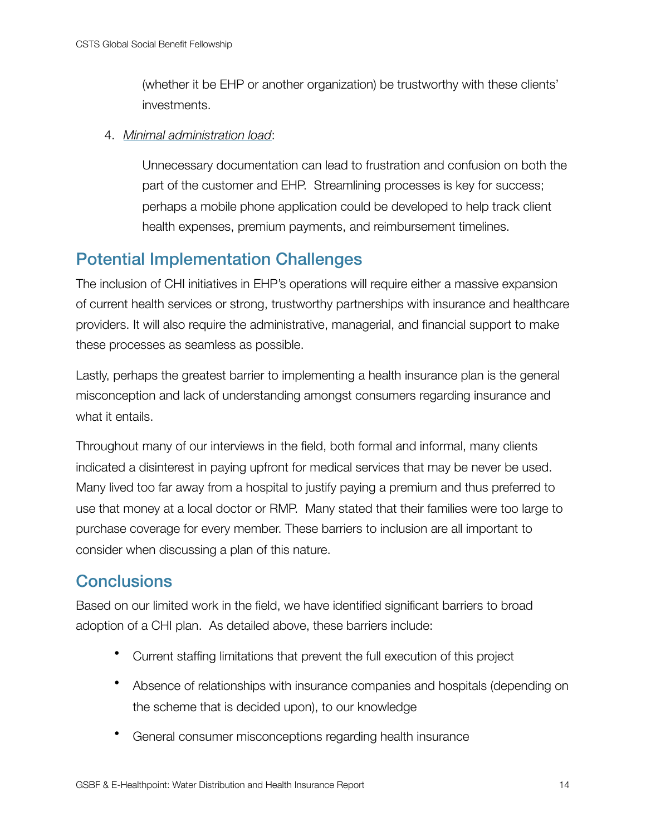(whether it be EHP or another organization) be trustworthy with these clients' investments.

4. *Minimal administration load*:

Unnecessary documentation can lead to frustration and confusion on both the part of the customer and EHP. Streamlining processes is key for success; perhaps a mobile phone application could be developed to help track client health expenses, premium payments, and reimbursement timelines.

## <span id="page-19-0"></span>Potential Implementation Challenges

The inclusion of CHI initiatives in EHP's operations will require either a massive expansion of current health services or strong, trustworthy partnerships with insurance and healthcare providers. It will also require the administrative, managerial, and financial support to make these processes as seamless as possible.

Lastly, perhaps the greatest barrier to implementing a health insurance plan is the general misconception and lack of understanding amongst consumers regarding insurance and what it entails.

Throughout many of our interviews in the field, both formal and informal, many clients indicated a disinterest in paying upfront for medical services that may be never be used. Many lived too far away from a hospital to justify paying a premium and thus preferred to use that money at a local doctor or RMP. Many stated that their families were too large to purchase coverage for every member. These barriers to inclusion are all important to consider when discussing a plan of this nature.

## <span id="page-19-1"></span>**Conclusions**

Based on our limited work in the field, we have identified significant barriers to broad adoption of a CHI plan. As detailed above, these barriers include:

- Current staffing limitations that prevent the full execution of this project
- Absence of relationships with insurance companies and hospitals (depending on the scheme that is decided upon), to our knowledge
- General consumer misconceptions regarding health insurance